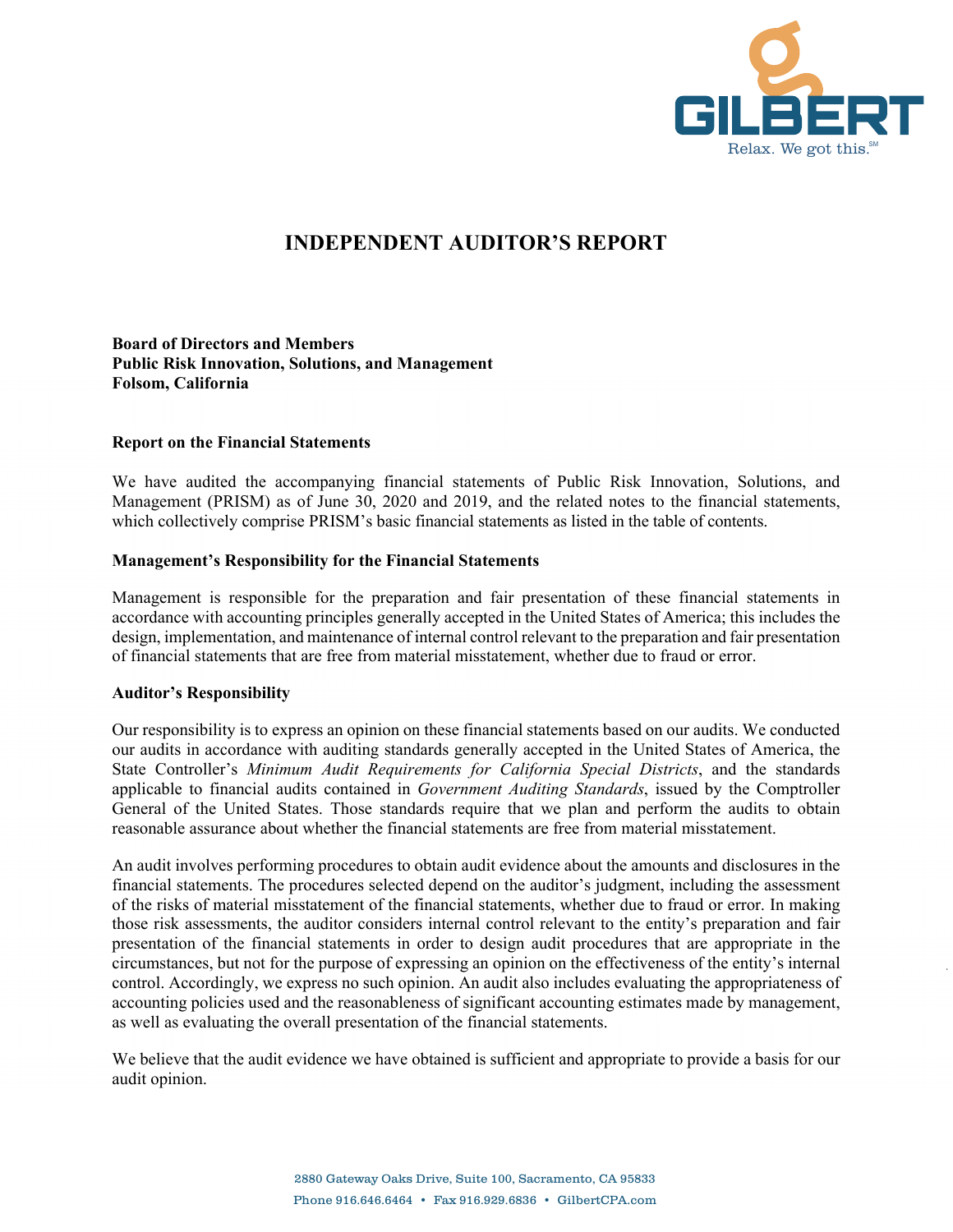

# **INDEPENDENT AUDITOR'S REPORT**

## **Board of Directors and Members Public Risk Innovation, Solutions, and Management Folsom, California**

#### **Report on the Financial Statements**

We have audited the accompanying financial statements of Public Risk Innovation, Solutions, and Management (PRISM) as of June 30, 2020 and 2019, and the related notes to the financial statements, which collectively comprise PRISM's basic financial statements as listed in the table of contents.

#### **Management's Responsibility for the Financial Statements**

Management is responsible for the preparation and fair presentation of these financial statements in accordance with accounting principles generally accepted in the United States of America; this includes the design, implementation, and maintenance of internal control relevant to the preparation and fair presentation of financial statements that are free from material misstatement, whether due to fraud or error.

#### **Auditor's Responsibility**

Our responsibility is to express an opinion on these financial statements based on our audits. We conducted our audits in accordance with auditing standards generally accepted in the United States of America, the State Controller's *Minimum Audit Requirements for California Special Districts*, and the standards applicable to financial audits contained in *Government Auditing Standards*, issued by the Comptroller General of the United States. Those standards require that we plan and perform the audits to obtain reasonable assurance about whether the financial statements are free from material misstatement.

An audit involves performing procedures to obtain audit evidence about the amounts and disclosures in the financial statements. The procedures selected depend on the auditor's judgment, including the assessment of the risks of material misstatement of the financial statements, whether due to fraud or error. In making those risk assessments, the auditor considers internal control relevant to the entity's preparation and fair presentation of the financial statements in order to design audit procedures that are appropriate in the circumstances, but not for the purpose of expressing an opinion on the effectiveness of the entity's internal control. Accordingly, we express no such opinion. An audit also includes evaluating the appropriateness of accounting policies used and the reasonableness of significant accounting estimates made by management, as well as evaluating the overall presentation of the financial statements.

We believe that the audit evidence we have obtained is sufficient and appropriate to provide a basis for our audit opinion.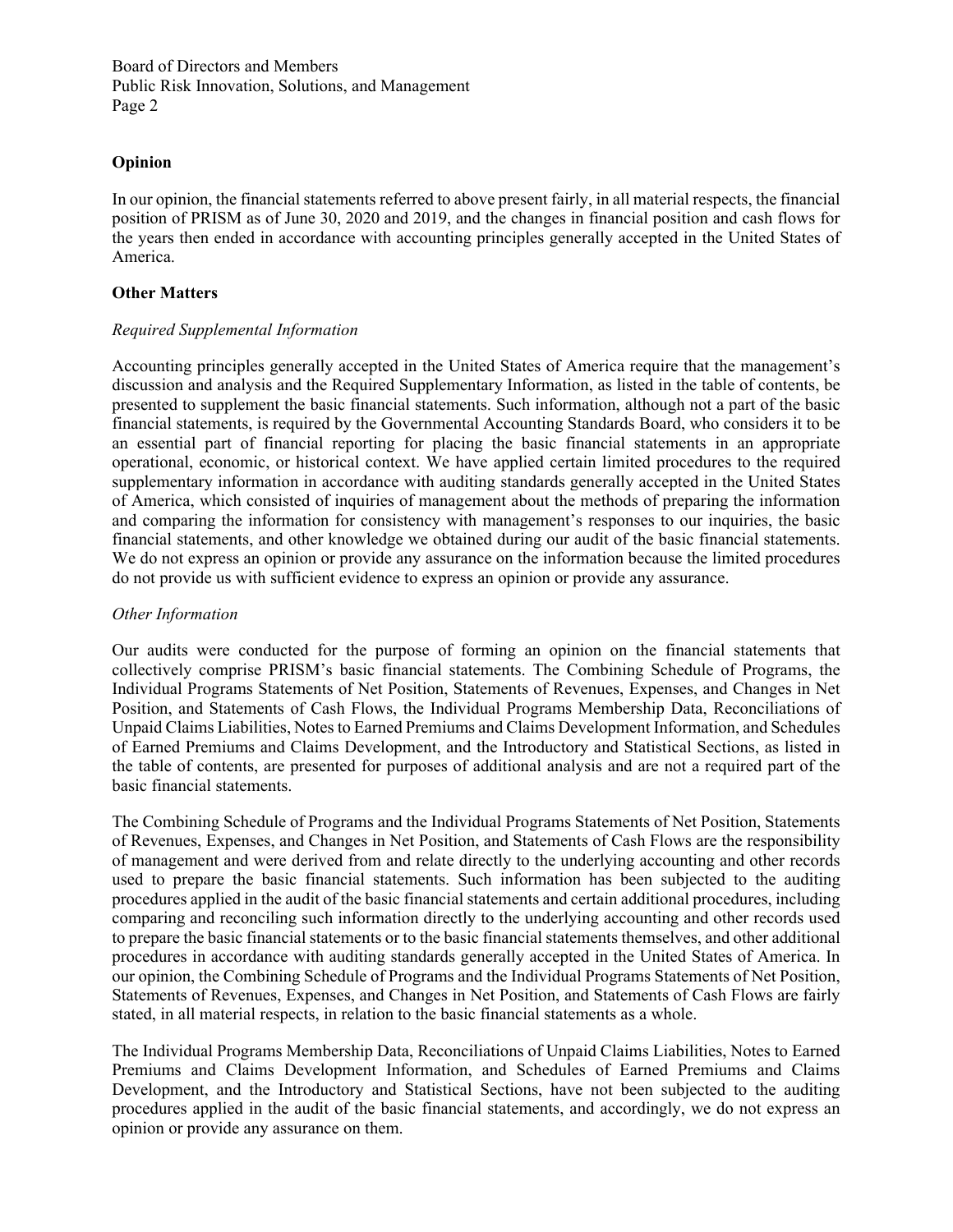Board of Directors and Members Public Risk Innovation, Solutions, and Management Page 2

### **Opinion**

In our opinion, the financial statements referred to above present fairly, in all material respects, the financial position of PRISM as of June 30, 2020 and 2019, and the changes in financial position and cash flows for the years then ended in accordance with accounting principles generally accepted in the United States of America.

#### **Other Matters**

#### *Required Supplemental Information*

Accounting principles generally accepted in the United States of America require that the management's discussion and analysis and the Required Supplementary Information, as listed in the table of contents, be presented to supplement the basic financial statements. Such information, although not a part of the basic financial statements, is required by the Governmental Accounting Standards Board, who considers it to be an essential part of financial reporting for placing the basic financial statements in an appropriate operational, economic, or historical context. We have applied certain limited procedures to the required supplementary information in accordance with auditing standards generally accepted in the United States of America, which consisted of inquiries of management about the methods of preparing the information and comparing the information for consistency with management's responses to our inquiries, the basic financial statements, and other knowledge we obtained during our audit of the basic financial statements. We do not express an opinion or provide any assurance on the information because the limited procedures do not provide us with sufficient evidence to express an opinion or provide any assurance.

#### *Other Information*

Our audits were conducted for the purpose of forming an opinion on the financial statements that collectively comprise PRISM's basic financial statements. The Combining Schedule of Programs, the Individual Programs Statements of Net Position, Statements of Revenues, Expenses, and Changes in Net Position, and Statements of Cash Flows, the Individual Programs Membership Data, Reconciliations of Unpaid Claims Liabilities, Notes to Earned Premiums and Claims Development Information, and Schedules of Earned Premiums and Claims Development, and the Introductory and Statistical Sections, as listed in the table of contents, are presented for purposes of additional analysis and are not a required part of the basic financial statements.

The Combining Schedule of Programs and the Individual Programs Statements of Net Position, Statements of Revenues, Expenses, and Changes in Net Position, and Statements of Cash Flows are the responsibility of management and were derived from and relate directly to the underlying accounting and other records used to prepare the basic financial statements. Such information has been subjected to the auditing procedures applied in the audit of the basic financial statements and certain additional procedures, including comparing and reconciling such information directly to the underlying accounting and other records used to prepare the basic financial statements or to the basic financial statements themselves, and other additional procedures in accordance with auditing standards generally accepted in the United States of America. In our opinion, the Combining Schedule of Programs and the Individual Programs Statements of Net Position, Statements of Revenues, Expenses, and Changes in Net Position, and Statements of Cash Flows are fairly stated, in all material respects, in relation to the basic financial statements as a whole.

The Individual Programs Membership Data, Reconciliations of Unpaid Claims Liabilities, Notes to Earned Premiums and Claims Development Information, and Schedules of Earned Premiums and Claims Development, and the Introductory and Statistical Sections, have not been subjected to the auditing procedures applied in the audit of the basic financial statements, and accordingly, we do not express an opinion or provide any assurance on them.